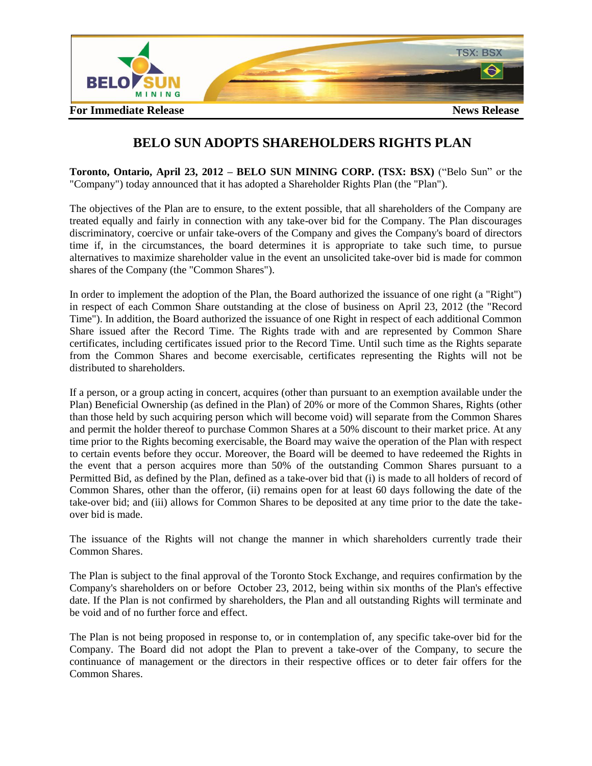

## **BELO SUN ADOPTS SHAREHOLDERS RIGHTS PLAN**

**Toronto, Ontario, April 23, 2012 – BELO SUN MINING CORP. (TSX: BSX)** ("Belo Sun" or the "Company") today announced that it has adopted a Shareholder Rights Plan (the "Plan").

The objectives of the Plan are to ensure, to the extent possible, that all shareholders of the Company are treated equally and fairly in connection with any take-over bid for the Company. The Plan discourages discriminatory, coercive or unfair take-overs of the Company and gives the Company's board of directors time if, in the circumstances, the board determines it is appropriate to take such time, to pursue alternatives to maximize shareholder value in the event an unsolicited take-over bid is made for common shares of the Company (the "Common Shares").

In order to implement the adoption of the Plan, the Board authorized the issuance of one right (a "Right") in respect of each Common Share outstanding at the close of business on April 23, 2012 (the "Record Time"). In addition, the Board authorized the issuance of one Right in respect of each additional Common Share issued after the Record Time. The Rights trade with and are represented by Common Share certificates, including certificates issued prior to the Record Time. Until such time as the Rights separate from the Common Shares and become exercisable, certificates representing the Rights will not be distributed to shareholders.

If a person, or a group acting in concert, acquires (other than pursuant to an exemption available under the Plan) Beneficial Ownership (as defined in the Plan) of 20% or more of the Common Shares, Rights (other than those held by such acquiring person which will become void) will separate from the Common Shares and permit the holder thereof to purchase Common Shares at a 50% discount to their market price. At any time prior to the Rights becoming exercisable, the Board may waive the operation of the Plan with respect to certain events before they occur. Moreover, the Board will be deemed to have redeemed the Rights in the event that a person acquires more than 50% of the outstanding Common Shares pursuant to a Permitted Bid, as defined by the Plan, defined as a take-over bid that (i) is made to all holders of record of Common Shares, other than the offeror, (ii) remains open for at least 60 days following the date of the take-over bid; and (iii) allows for Common Shares to be deposited at any time prior to the date the takeover bid is made.

The issuance of the Rights will not change the manner in which shareholders currently trade their Common Shares.

The Plan is subject to the final approval of the Toronto Stock Exchange, and requires confirmation by the Company's shareholders on or before October 23, 2012, being within six months of the Plan's effective date. If the Plan is not confirmed by shareholders, the Plan and all outstanding Rights will terminate and be void and of no further force and effect.

The Plan is not being proposed in response to, or in contemplation of, any specific take-over bid for the Company. The Board did not adopt the Plan to prevent a take-over of the Company, to secure the continuance of management or the directors in their respective offices or to deter fair offers for the Common Shares.